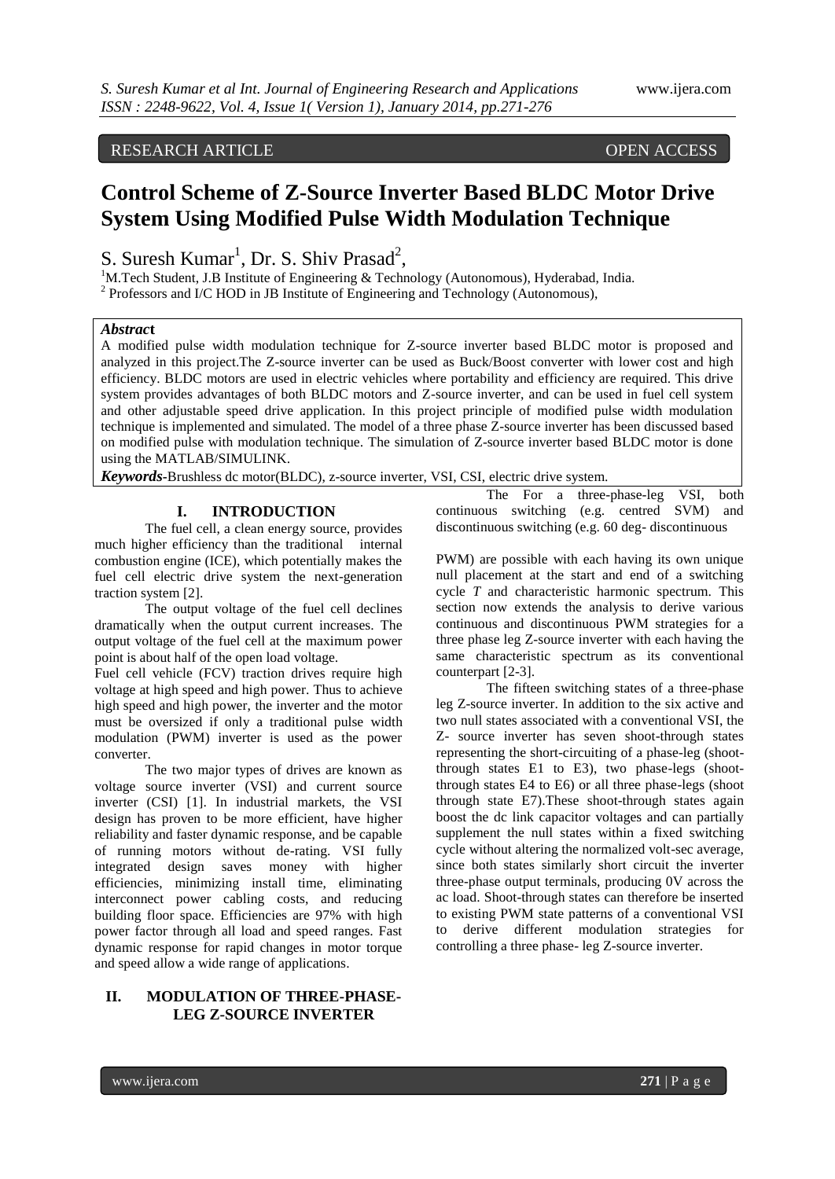# RESEARCH ARTICLE OPEN ACCESS

# **Control Scheme of Z-Source Inverter Based BLDC Motor Drive System Using Modified Pulse Width Modulation Technique**

S. Suresh Kumar<sup>1</sup>, Dr. S. Shiv Prasad<sup>2</sup>,

<sup>1</sup>M.Tech Student, J.B Institute of Engineering & Technology (Autonomous), Hyderabad, India.  $2$  Professors and I/C HOD in JB Institute of Engineering and Technology (Autonomous),

# *Abstrac***t**

A modified pulse width modulation technique for Z-source inverter based BLDC motor is proposed and analyzed in this project.The Z-source inverter can be used as Buck/Boost converter with lower cost and high efficiency. BLDC motors are used in electric vehicles where portability and efficiency are required. This drive system provides advantages of both BLDC motors and Z-source inverter, and can be used in fuel cell system and other adjustable speed drive application. In this project principle of modified pulse width modulation technique is implemented and simulated. The model of a three phase Z-source inverter has been discussed based on modified pulse with modulation technique. The simulation of Z-source inverter based BLDC motor is done using the MATLAB/SIMULINK.

*Keywords***-**Brushless dc motor(BLDC), z-source inverter, VSI, CSI, electric drive system.

# **I. INTRODUCTION**

The fuel cell, a clean energy source, provides much higher efficiency than the traditional internal combustion engine (ICE), which potentially makes the fuel cell electric drive system the next-generation traction system [2].

The output voltage of the fuel cell declines dramatically when the output current increases. The output voltage of the fuel cell at the maximum power point is about half of the open load voltage.

Fuel cell vehicle (FCV) traction drives require high voltage at high speed and high power. Thus to achieve high speed and high power, the inverter and the motor must be oversized if only a traditional pulse width modulation (PWM) inverter is used as the power converter.

The two major types of drives are known as voltage source inverter (VSI) and current source inverter (CSI) [1]. In industrial markets, the VSI design has proven to be more efficient, have higher reliability and faster dynamic response, and be capable of running motors without de-rating. VSI fully integrated design saves money with higher efficiencies, minimizing install time, eliminating interconnect power cabling costs, and reducing building floor space. Efficiencies are 97% with high power factor through all load and speed ranges. Fast dynamic response for rapid changes in motor torque and speed allow a wide range of applications.

# **II. MODULATION OF THREE-PHASE-LEG Z-SOURCE INVERTER**

The For a three-phase-leg VSI, both continuous switching (e.g. centred SVM) and discontinuous switching (e.g. 60 deg- discontinuous

PWM) are possible with each having its own unique null placement at the start and end of a switching cycle *T* and characteristic harmonic spectrum. This section now extends the analysis to derive various continuous and discontinuous PWM strategies for a three phase leg Z-source inverter with each having the same characteristic spectrum as its conventional counterpart [2-3].

The fifteen switching states of a three-phase leg Z-source inverter. In addition to the six active and two null states associated with a conventional VSI, the Z- source inverter has seven shoot-through states representing the short-circuiting of a phase-leg (shootthrough states E1 to E3), two phase-legs (shootthrough states E4 to E6) or all three phase-legs (shoot through state E7).These shoot-through states again boost the dc link capacitor voltages and can partially supplement the null states within a fixed switching cycle without altering the normalized volt-sec average, since both states similarly short circuit the inverter three-phase output terminals, producing 0V across the ac load. Shoot-through states can therefore be inserted to existing PWM state patterns of a conventional VSI to derive different modulation strategies for controlling a three phase- leg Z-source inverter.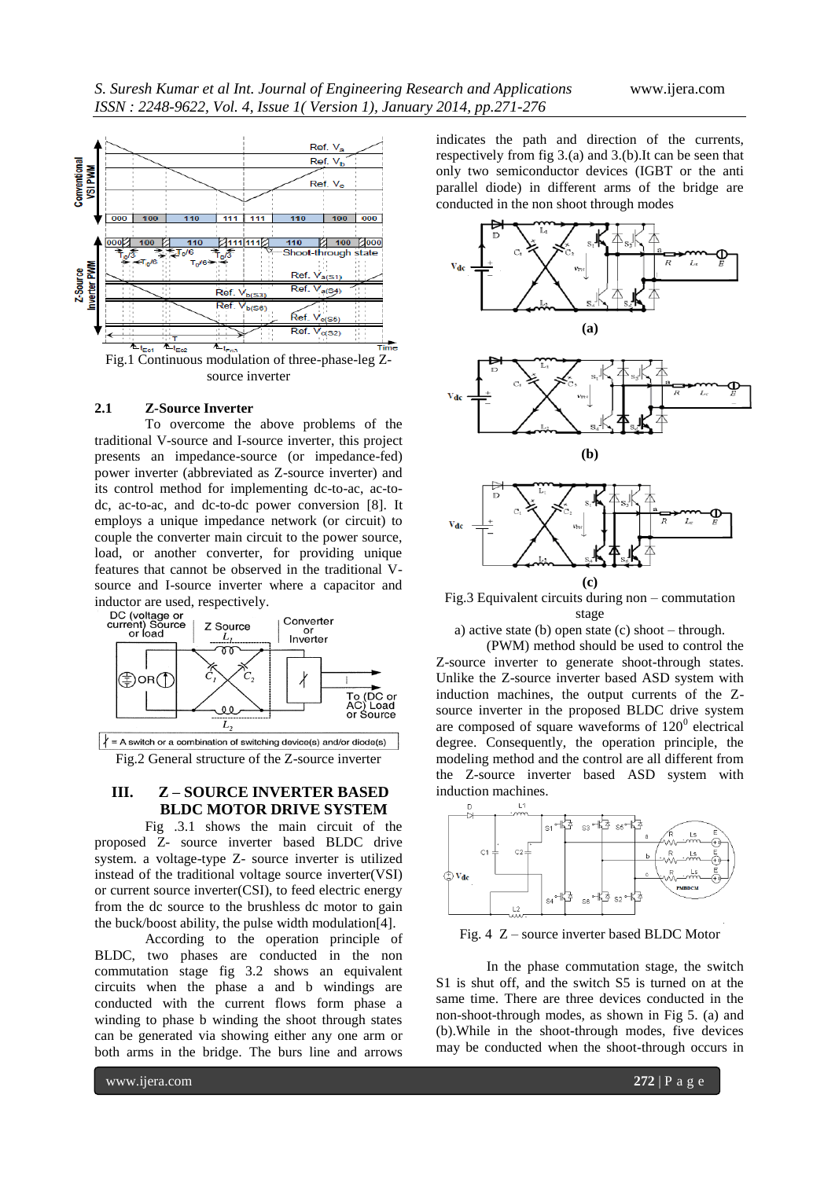

#### **2.1 Z-Source Inverter**

To overcome the above problems of the traditional V-source and I-source inverter, this project presents an impedance-source (or impedance-fed) power inverter (abbreviated as Z-source inverter) and its control method for implementing dc-to-ac, ac-todc, ac-to-ac, and dc-to-dc power conversion [8]. It employs a unique impedance network (or circuit) to couple the converter main circuit to the power source, load, or another converter, for providing unique features that cannot be observed in the traditional Vsource and I-source inverter where a capacitor and



 $\vert \psi \vert = A$  switch or a combination of switching device(s) and/or diode(s) Fig.2 General structure of the Z-source inverter

# **III. Z – SOURCE INVERTER BASED BLDC MOTOR DRIVE SYSTEM**

Fig .3.1 shows the main circuit of the proposed Z- source inverter based BLDC drive system. a voltage-type Z- source inverter is utilized instead of the traditional voltage source inverter(VSI) or current source inverter(CSI), to feed electric energy from the dc source to the brushless dc motor to gain the buck/boost ability, the pulse width modulation[4].

According to the operation principle of BLDC, two phases are conducted in the non commutation stage fig 3.2 shows an equivalent circuits when the phase a and b windings are conducted with the current flows form phase a winding to phase b winding the shoot through states can be generated via showing either any one arm or both arms in the bridge. The burs line and arrows

indicates the path and direction of the currents, respectively from fig 3.(a) and 3.(b).It can be seen that only two semiconductor devices (IGBT or the anti parallel diode) in different arms of the bridge are conducted in the non shoot through modes



Fig.3 Equivalent circuits during non – commutation stage

a) active state (b) open state (c) shoot – through.

(PWM) method should be used to control the Z-source inverter to generate shoot-through states. Unlike the Z-source inverter based ASD system with induction machines, the output currents of the Zsource inverter in the proposed BLDC drive system are composed of square waveforms of  $120^0$  electrical degree. Consequently, the operation principle, the modeling method and the control are all different from the Z-source inverter based ASD system with induction machines.



Fig. 4 Z – source inverter based BLDC Motor

In the phase commutation stage, the switch S1 is shut off, and the switch S5 is turned on at the same time. There are three devices conducted in the non-shoot-through modes, as shown in Fig 5. (a) and (b).While in the shoot-through modes, five devices may be conducted when the shoot-through occurs in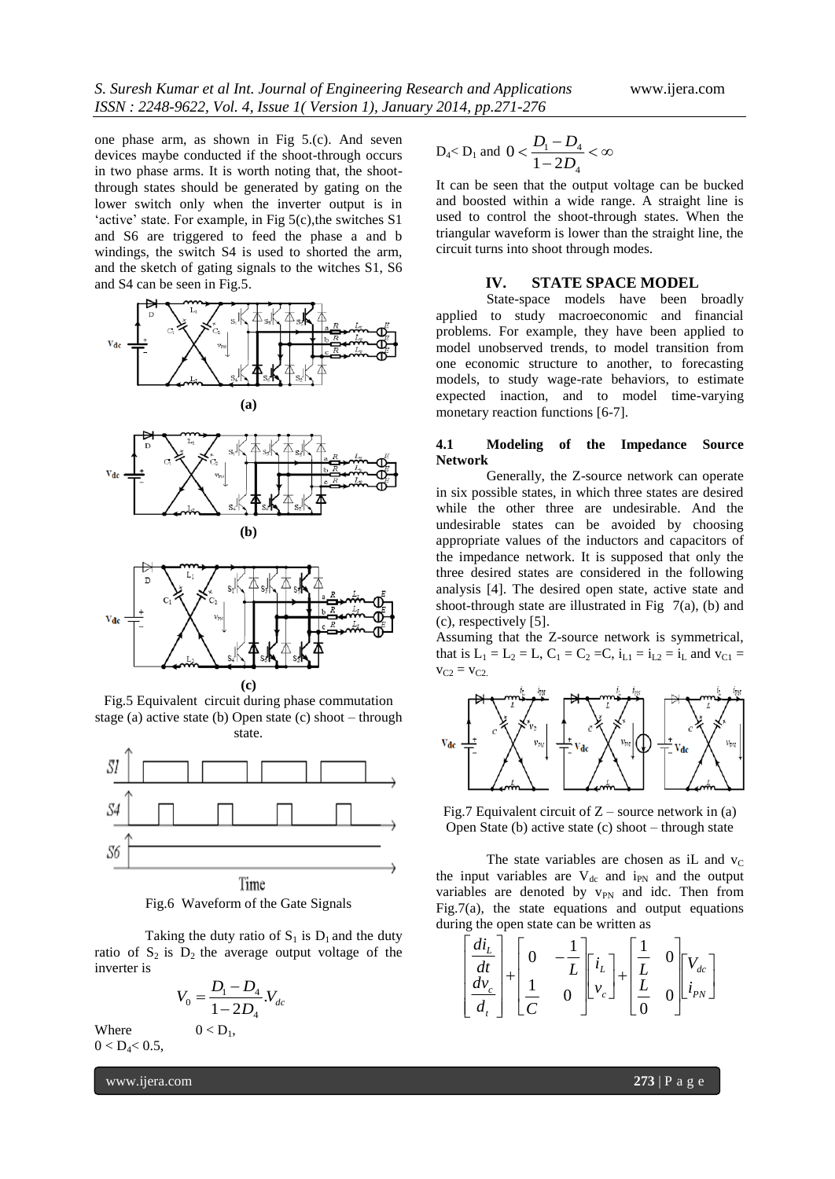one phase arm, as shown in Fig 5.(c). And seven devices maybe conducted if the shoot-through occurs in two phase arms. It is worth noting that, the shootthrough states should be generated by gating on the lower switch only when the inverter output is in 'active' state. For example, in Fig  $5(c)$ , the switches S1 and S6 are triggered to feed the phase a and b windings, the switch S4 is used to shorted the arm, and the sketch of gating signals to the witches S1, S6 and S4 can be seen in Fig.5.









**(c)**

Fig.5 Equivalent circuit during phase commutation stage (a) active state (b) Open state (c) shoot – through state.



Fig.6 Waveform of the Gate Signals

Taking the duty ratio of  $S_1$  is  $D_1$  and the duty ratio of  $S_2$  is  $D_2$  the average output voltage of the inverter is

$$
V_0 = \frac{D_1 - D_4}{1 - 2D_4} V_{dc}
$$

 $0 < D_1$ ,

Where  $0 < D_4 < 0.5$ ,

www.ijera.com **273** | P a g e

$$
D_4 < D_1 \text{ and } 0 < \frac{D_1 - D_4}{1 - 2D_4} < \infty
$$

It can be seen that the output voltage can be bucked and boosted within a wide range. A straight line is used to control the shoot-through states. When the triangular waveform is lower than the straight line, the circuit turns into shoot through modes.

#### **IV. STATE SPACE MODEL**

State-space models have been broadly applied to study macroeconomic and financial problems. For example, they have been applied to model unobserved trends, to model transition from one economic structure to another, to forecasting models, to study wage-rate behaviors, to estimate expected inaction, and to model time-varying monetary reaction functions [6-7].

#### **4.1 Modeling of the Impedance Source Network**

Generally, the Z-source network can operate in six possible states, in which three states are desired while the other three are undesirable. And the undesirable states can be avoided by choosing appropriate values of the inductors and capacitors of the impedance network. It is supposed that only the three desired states are considered in the following analysis [4]. The desired open state, active state and shoot-through state are illustrated in Fig  $7(a)$ , (b) and (c), respectively [5].

Assuming that the Z-source network is symmetrical, that is  $L_1 = L_2 = L$ ,  $C_1 = C_2 = C$ ,  $i_{L1} = i_{L2} = i_L$  and  $v_{C1} =$  $v_{C2} = v_{C2}$ 



Fig.7 Equivalent circuit of  $Z$  – source network in (a) Open State (b) active state (c) shoot – through state

The state variables are chosen as iL and  $v<sub>C</sub>$ the input variables are  $V_{dc}$  and i<sub>PN</sub> and the output variables are denoted by v<sub>PN</sub> and idc. Then from Fig.7(a), the state equations and output equations during the open state can be written as

$$
\begin{bmatrix} \frac{di_L}{dt} \\ \frac{dv_c}{d_t} \end{bmatrix} + \begin{bmatrix} 0 & -\frac{1}{L} \\ \frac{1}{C} & 0 \end{bmatrix} \begin{bmatrix} i_L \\ v_c \end{bmatrix} + \begin{bmatrix} \frac{1}{L} & 0 \\ \frac{L}{0} & 0 \end{bmatrix} \begin{bmatrix} V_{dc} \\ i_{PN} \end{bmatrix}
$$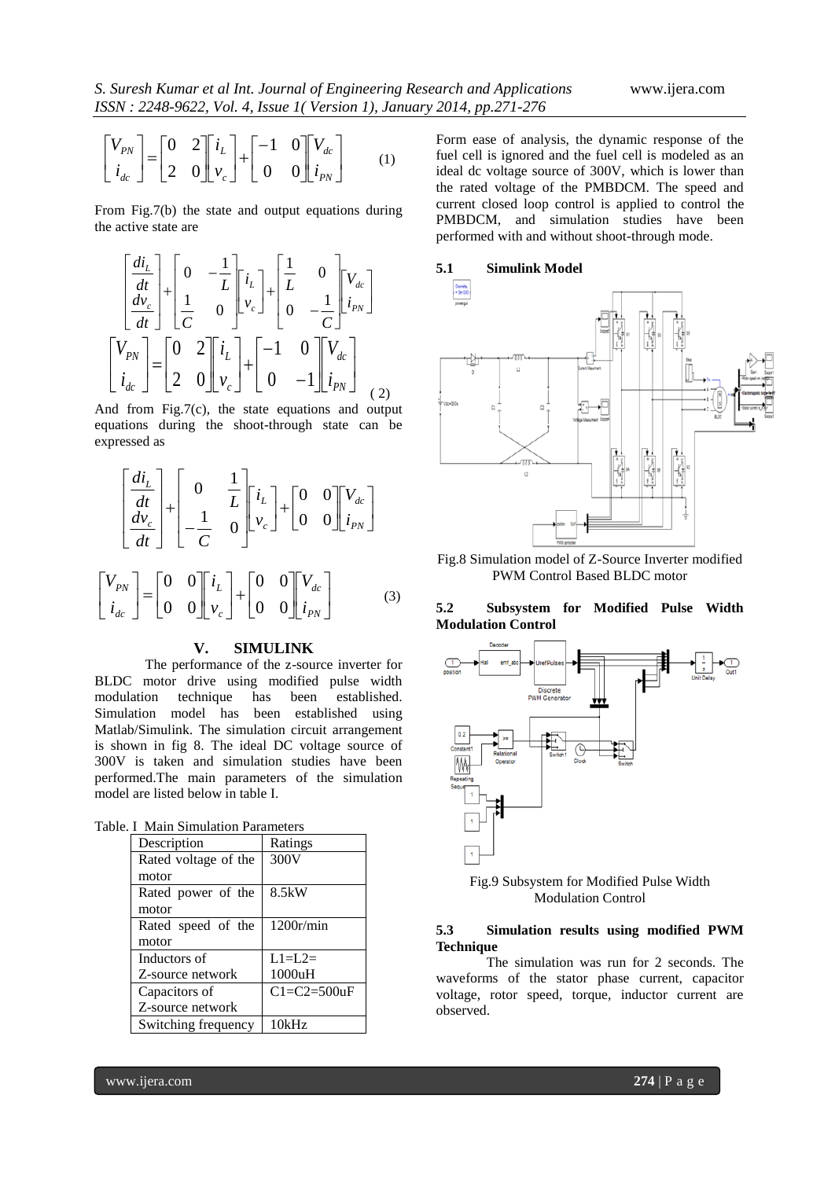$$
\begin{bmatrix} V_{PN} \\ i_{dc} \end{bmatrix} = \begin{bmatrix} 0 & 2 \\ 2 & 0 \end{bmatrix} \begin{bmatrix} i_L \\ v_c \end{bmatrix} + \begin{bmatrix} -1 & 0 \\ 0 & 0 \end{bmatrix} \begin{bmatrix} V_{dc} \\ i_{PN} \end{bmatrix}
$$
 (1)

From Fig.7(b) the state and output equations during the active state are

$$
\begin{bmatrix} \frac{di_L}{dt} \\ \frac{dv_c}{dt} \end{bmatrix} + \begin{bmatrix} 0 & -\frac{1}{L} \\ \frac{1}{C} & 0 \end{bmatrix} \begin{bmatrix} i_L \\ v_c \end{bmatrix} + \begin{bmatrix} \frac{1}{L} & 0 \\ 0 & -\frac{1}{C} \end{bmatrix} \begin{bmatrix} V_{dc} \\ i_{pN} \end{bmatrix}
$$

$$
\begin{bmatrix} V_{PN} \\ i_{dc} \end{bmatrix} = \begin{bmatrix} 0 & 2 \\ 2 & 0 \end{bmatrix} \begin{bmatrix} i_L \\ v_c \end{bmatrix} + \begin{bmatrix} -1 & 0 \\ 0 & -1 \end{bmatrix} \begin{bmatrix} V_{dc} \\ i_{pN} \end{bmatrix}
$$
 (2)

And from Fig.7(c), the state equations and output equations during the shoot-through state can be expressed as

$$
\begin{bmatrix} \frac{di_L}{dt} \\ \frac{dv_c}{dt} \end{bmatrix} + \begin{bmatrix} 0 & \frac{1}{L} \\ -\frac{1}{C} & 0 \end{bmatrix} \begin{bmatrix} i_L \\ v_c \end{bmatrix} + \begin{bmatrix} 0 & 0 \\ 0 & 0 \end{bmatrix} \begin{bmatrix} V_{dc} \\ i_{PN} \end{bmatrix}
$$

$$
\begin{bmatrix} V_{PN} \\ i_{dc} \end{bmatrix} = \begin{bmatrix} 0 & 0 \\ 0 & 0 \end{bmatrix} \begin{bmatrix} i_L \\ v_c \end{bmatrix} + \begin{bmatrix} 0 & 0 \\ 0 & 0 \end{bmatrix} \begin{bmatrix} V_{dc} \\ i_{PN} \end{bmatrix}
$$
(3)

### **V. SIMULINK**

The performance of the z-source inverter for BLDC motor drive using modified pulse width modulation technique has been established. Simulation model has been established using Matlab/Simulink. The simulation circuit arrangement is shown in fig 8. The ideal DC voltage source of 300V is taken and simulation studies have been performed.The main parameters of the simulation model are listed below in table I.

|  |  | Table. I Main Simulation Parameters |  |
|--|--|-------------------------------------|--|
|--|--|-------------------------------------|--|

| Description          | Ratings            |  |  |  |
|----------------------|--------------------|--|--|--|
| Rated voltage of the | 300V               |  |  |  |
| motor                |                    |  |  |  |
| Rated power of the   | 8.5kW              |  |  |  |
| motor                |                    |  |  |  |
| Rated speed of the   | 1200r/min          |  |  |  |
| motor                |                    |  |  |  |
| Inductors of         | $L1=L2=$           |  |  |  |
| Z-source network     | 1000uH             |  |  |  |
| Capacitors of        | $C1 = C2 = 500$ uF |  |  |  |
| Z-source network     |                    |  |  |  |
| Switching frequency  | 10kHz              |  |  |  |

Form ease of analysis, the dynamic response of the fuel cell is ignored and the fuel cell is modeled as an ideal dc voltage source of 300V, which is lower than the rated voltage of the PMBDCM. The speed and current closed loop control is applied to control the PMBDCM, and simulation studies have been performed with and without shoot-through mode.



Fig.8 Simulation model of Z-Source Inverter modified PWM Control Based BLDC motor

### **5.2 Subsystem for Modified Pulse Width Modulation Control**



Fig.9 Subsystem for Modified Pulse Width Modulation Control

#### **5.3 Simulation results using modified PWM Technique**

The simulation was run for 2 seconds. The waveforms of the stator phase current, capacitor voltage, rotor speed, torque, inductor current are observed.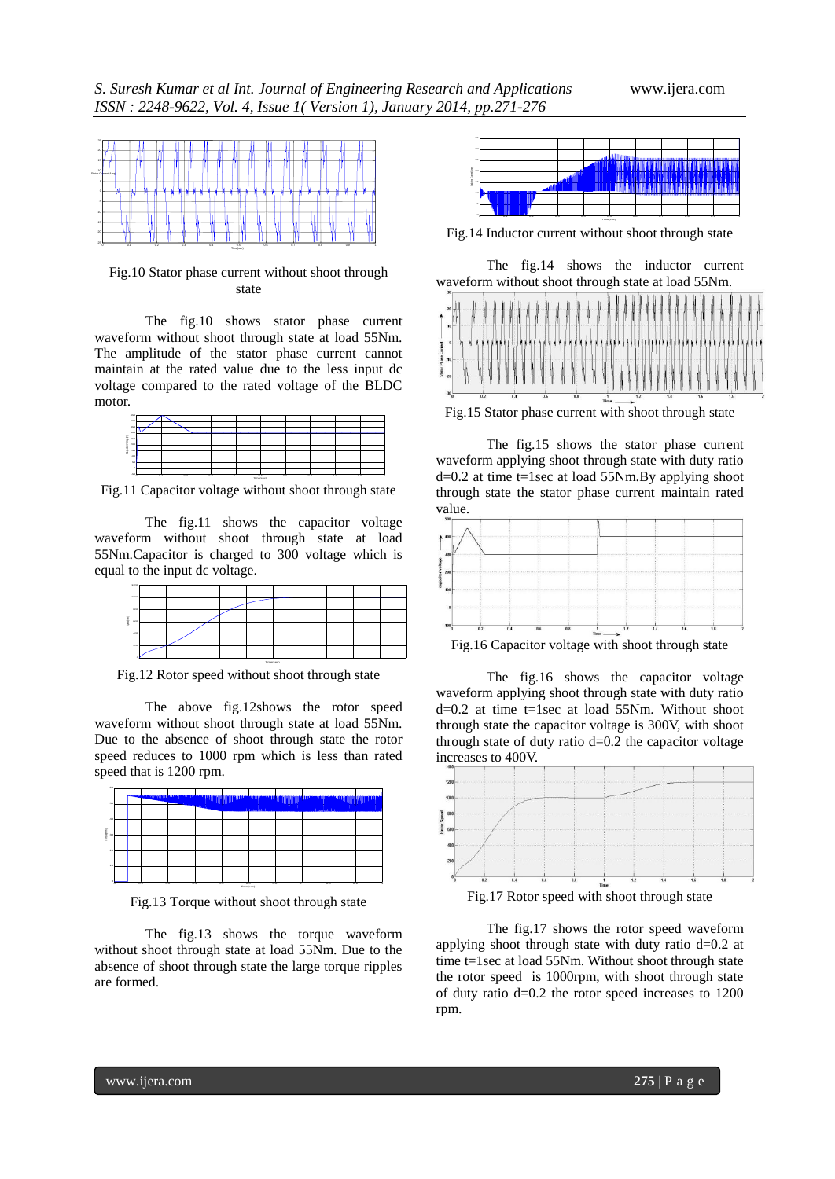

Fig.10 Stator phase current without shoot through state

The fig.10 shows stator phase current waveform without shoot through state at load 55Nm. The amplitude of the stator phase current cannot maintain at the rated value due to the less input dc voltage compared to the rated voltage of the BLDC motor.



Fig.11 Capacitor voltage without shoot through state

The fig.11 shows the capacitor voltage waveform without shoot through state at load 55Nm.Capacitor is charged to 300 voltage which is equal to the input dc voltage.

| 12004       |                    |     |     |     |           |            |     |            |  |
|-------------|--------------------|-----|-----|-----|-----------|------------|-----|------------|--|
| 1000<br>noc |                    |     |     |     |           |            |     |            |  |
| I<br>400    |                    |     |     |     |           |            |     |            |  |
| 400         |                    |     |     |     |           |            |     |            |  |
| 200         |                    |     |     |     |           |            |     |            |  |
|             |                    |     |     |     |           |            |     |            |  |
|             | $\alpha$<br>$\sim$ | 0.2 | 0.3 | 0.4 | Templanet | 0.6<br>0.6 | 0.7 | 0.8<br>0.9 |  |

Fig.12 Rotor speed without shoot through state

The above fig.12shows the rotor speed waveform without shoot through state at load 55Nm. Due to the absence of shoot through state the rotor speed reduces to 1000 rpm which is less than rated speed that is 1200 rpm.



Fig.13 Torque without shoot through state

The fig.13 shows the torque waveform without shoot through state at load 55Nm. Due to the absence of shoot through state the large torque ripples are formed.



Fig.14 Inductor current without shoot through state

The fig.14 shows the inductor current waveform without shoot through state at load 55Nm.



Fig.15 Stator phase current with shoot through state

The fig.15 shows the stator phase current waveform applying shoot through state with duty ratio  $d=0.2$  at time t=1sec at load 55Nm.By applying shoot through state the stator phase current maintain rated value.



Fig.16 Capacitor voltage with shoot through state

The fig.16 shows the capacitor voltage waveform applying shoot through state with duty ratio d=0.2 at time t=1sec at load 55Nm. Without shoot through state the capacitor voltage is 300V, with shoot through state of duty ratio d=0.2 the capacitor voltage increases to 400V.



Fig.17 Rotor speed with shoot through state

The fig.17 shows the rotor speed waveform applying shoot through state with duty ratio d=0.2 at time t=1sec at load 55Nm. Without shoot through state the rotor speed is 1000rpm, with shoot through state of duty ratio d=0.2 the rotor speed increases to 1200 rpm.